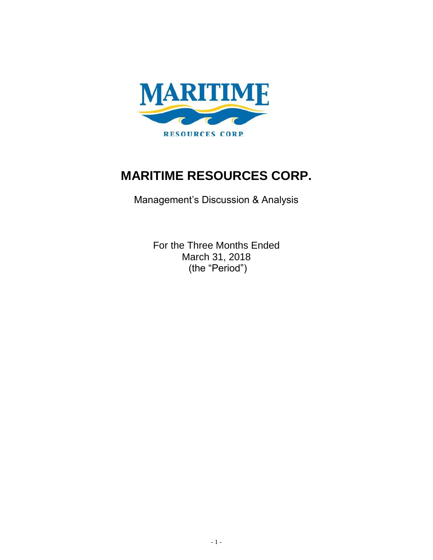

# **MARITIME RESOURCES CORP.**

Management's Discussion & Analysis

For the Three Months Ended March 31, 2018 (the "Period")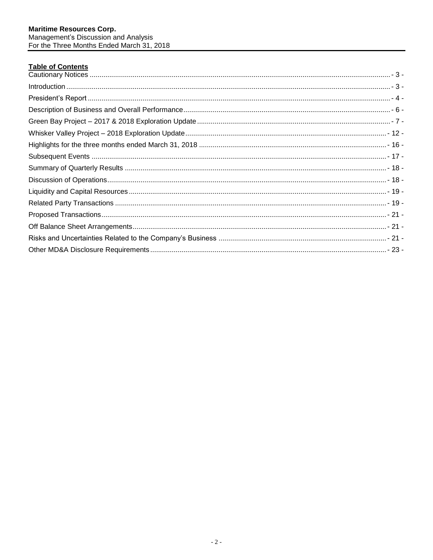# **Table of Contents**

| $\begin{minipage}{0.9\linewidth} \begin{tabular}{l} \hline \textbf{Introduction} \end{tabular} \end{minipage} \begin{minipage}{0.9\linewidth} \begin{tabular}{l} \hline \textbf{C} & \textbf{C} \\ \hline \textbf{D} & \textbf{D} \\ \hline \textbf{D} & \textbf{D} \\ \hline \textbf{D} & \textbf{D} \\ \hline \textbf{D} & \textbf{D} \\ \hline \textbf{D} & \textbf{D} \\ \hline \textbf{D} & \textbf{D} \\ \hline \textbf{D} & \textbf{D} \\ \hline \textbf{D} & \textbf{D} \\ \hline$ |  |
|--------------------------------------------------------------------------------------------------------------------------------------------------------------------------------------------------------------------------------------------------------------------------------------------------------------------------------------------------------------------------------------------------------------------------------------------------------------------------------------------|--|
|                                                                                                                                                                                                                                                                                                                                                                                                                                                                                            |  |
|                                                                                                                                                                                                                                                                                                                                                                                                                                                                                            |  |
|                                                                                                                                                                                                                                                                                                                                                                                                                                                                                            |  |
|                                                                                                                                                                                                                                                                                                                                                                                                                                                                                            |  |
|                                                                                                                                                                                                                                                                                                                                                                                                                                                                                            |  |
|                                                                                                                                                                                                                                                                                                                                                                                                                                                                                            |  |
|                                                                                                                                                                                                                                                                                                                                                                                                                                                                                            |  |
|                                                                                                                                                                                                                                                                                                                                                                                                                                                                                            |  |
|                                                                                                                                                                                                                                                                                                                                                                                                                                                                                            |  |
|                                                                                                                                                                                                                                                                                                                                                                                                                                                                                            |  |
|                                                                                                                                                                                                                                                                                                                                                                                                                                                                                            |  |
|                                                                                                                                                                                                                                                                                                                                                                                                                                                                                            |  |
|                                                                                                                                                                                                                                                                                                                                                                                                                                                                                            |  |
|                                                                                                                                                                                                                                                                                                                                                                                                                                                                                            |  |
|                                                                                                                                                                                                                                                                                                                                                                                                                                                                                            |  |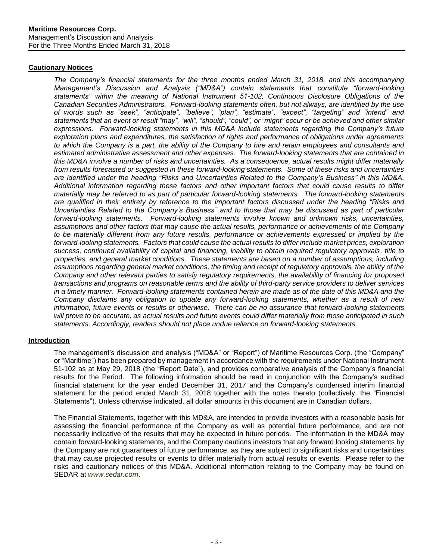# <span id="page-2-0"></span>**Cautionary Notices**

*The Company's financial statements for the three months ended March 31, 2018, and this accompanying Management's Discussion and Analysis ("MD&A") contain statements that constitute "forward-looking statements" within the meaning of National Instrument 51-102, Continuous Disclosure Obligations of the Canadian Securities Administrators. Forward-looking statements often, but not always, are identified by the use of words such as "seek", "anticipate", "believe", "plan", "estimate", "expect", "targeting" and "intend" and statements that an event or result "may", "will", "should", "could", or "might" occur or be achieved and other similar expressions. Forward-looking statements in this MD&A include statements regarding the Company's future exploration plans and expenditures, the satisfaction of rights and performance of obligations under agreements to which the Company is a part, the ability of the Company to hire and retain employees and consultants and estimated administrative assessment and other expenses. The forward-looking statements that are contained in this MD&A involve a number of risks and uncertainties. As a consequence, actual results might differ materially from results forecasted or suggested in these forward-looking statements. Some of these risks and uncertainties are identified under the heading "Risks and Uncertainties Related to the Company's Business" in this MD&A. Additional information regarding these factors and other important factors that could cause results to differ materially may be referred to as part of particular forward-looking statements. The forward-looking statements are qualified in their entirety by reference to the important factors discussed under the heading "Risks and Uncertainties Related to the Company's Business" and to those that may be discussed as part of particular forward-looking statements. Forward-looking statements involve known and unknown risks, uncertainties, assumptions and other factors that may cause the actual results, performance or achievements of the Company to be materially different from any future results, performance or achievements expressed or implied by the forward-looking statements. Factors that could cause the actual results to differ include market prices, exploration success, continued availability of capital and financing, inability to obtain required regulatory approvals, title to properties, and general market conditions. These statements are based on a number of assumptions, including assumptions regarding general market conditions, the timing and receipt of regulatory approvals, the ability of the Company and other relevant parties to satisfy regulatory requirements, the availability of financing for proposed transactions and programs on reasonable terms and the ability of third-party service providers to deliver services in a timely manner. Forward-looking statements contained herein are made as of the date of this MD&A and the Company disclaims any obligation to update any forward-looking statements, whether as a result of new information, future events or results or otherwise. There can be no assurance that forward-looking statements will prove to be accurate, as actual results and future events could differ materially from those anticipated in such statements. Accordingly, readers should not place undue reliance on forward-looking statements.*

#### <span id="page-2-1"></span>**Introduction**

The management's discussion and analysis ("MD&A" or "Report") of Maritime Resources Corp. (the "Company" or "Maritime") has been prepared by management in accordance with the requirements under National Instrument 51-102 as at May 29, 2018 (the "Report Date"), and provides comparative analysis of the Company's financial results for the Period. The following information should be read in conjunction with the Company's audited financial statement for the year ended December 31, 2017 and the Company's condensed interim financial statement for the period ended March 31, 2018 together with the notes thereto (collectively, the "Financial Statements"). Unless otherwise indicated, all dollar amounts in this document are in Canadian dollars.

The Financial Statements, together with this MD&A, are intended to provide investors with a reasonable basis for assessing the financial performance of the Company as well as potential future performance, and are not necessarily indicative of the results that may be expected in future periods. The information in the MD&A may contain forward-looking statements, and the Company cautions investors that any forward looking statements by the Company are not guarantees of future performance, as they are subject to significant risks and uncertainties that may cause projected results or events to differ materially from actual results or events. Please refer to the risks and cautionary notices of this MD&A. Additional information relating to the Company may be found on SEDAR at *[www.sedar.com](http://www.sedar.com/)*.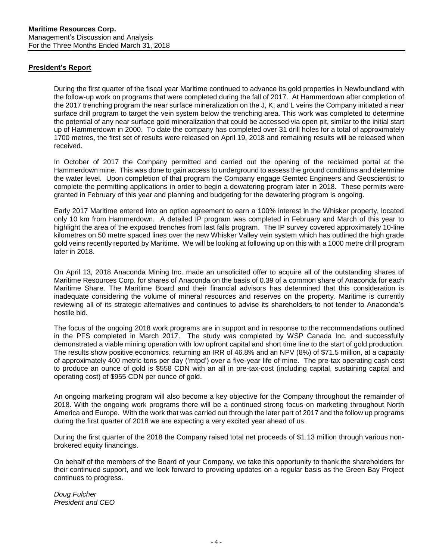# <span id="page-3-0"></span>**President's Report**

During the first quarter of the fiscal year Maritime continued to advance its gold properties in Newfoundland with the follow-up work on programs that were completed during the fall of 2017. At Hammerdown after completion of the 2017 trenching program the near surface mineralization on the J, K, and L veins the Company initiated a near surface drill program to target the vein system below the trenching area. This work was completed to determine the potential of any near surface gold mineralization that could be accessed via open pit, similar to the initial start up of Hammerdown in 2000. To date the company has completed over 31 drill holes for a total of approximately 1700 metres, the first set of results were released on April 19, 2018 and remaining results will be released when received.

In October of 2017 the Company permitted and carried out the opening of the reclaimed portal at the Hammerdown mine. This was done to gain access to underground to assess the ground conditions and determine the water level. Upon completion of that program the Company engage Gemtec Engineers and Geoscientist to complete the permitting applications in order to begin a dewatering program later in 2018. These permits were granted in February of this year and planning and budgeting for the dewatering program is ongoing.

Early 2017 Maritime entered into an option agreement to earn a 100% interest in the Whisker property, located only 10 km from Hammerdown. A detailed IP program was completed in February and March of this year to highlight the area of the exposed trenches from last falls program. The IP survey covered approximately 10-line kilometres on 50 metre spaced lines over the new Whisker Valley vein system which has outlined the high grade gold veins recently reported by Maritime. We will be looking at following up on this with a 1000 metre drill program later in 2018.

On April 13, 2018 Anaconda Mining Inc. made an unsolicited offer to acquire all of the outstanding shares of Maritime Resources Corp. for shares of Anaconda on the basis of 0.39 of a common share of Anaconda for each Maritime Share. The Maritime Board and their financial advisors has determined that this consideration is inadequate considering the volume of mineral resources and reserves on the property. Maritime is currently reviewing all of its strategic alternatives and continues to advise its shareholders to not tender to Anaconda's hostile bid.

The focus of the ongoing 2018 work programs are in support and in response to the recommendations outlined in the PFS completed in March 2017. The study was completed by WSP Canada Inc. and successfully demonstrated a viable mining operation with low upfront capital and short time line to the start of gold production. The results show positive economics, returning an IRR of 46.8% and an NPV (8%) of \$71.5 million, at a capacity of approximately 400 metric tons per day ('mtpd') over a five-year life of mine. The pre-tax operating cash cost to produce an ounce of gold is \$558 CDN with an all in pre-tax-cost (including capital, sustaining capital and operating cost) of \$955 CDN per ounce of gold.

An ongoing marketing program will also become a key objective for the Company throughout the remainder of 2018. With the ongoing work programs there will be a continued strong focus on marketing throughout North America and Europe. With the work that was carried out through the later part of 2017 and the follow up programs during the first quarter of 2018 we are expecting a very excited year ahead of us.

During the first quarter of the 2018 the Company raised total net proceeds of \$1.13 million through various nonbrokered equity financings.

On behalf of the members of the Board of your Company, we take this opportunity to thank the shareholders for their continued support, and we look forward to providing updates on a regular basis as the Green Bay Project continues to progress.

*Doug Fulcher President and CEO*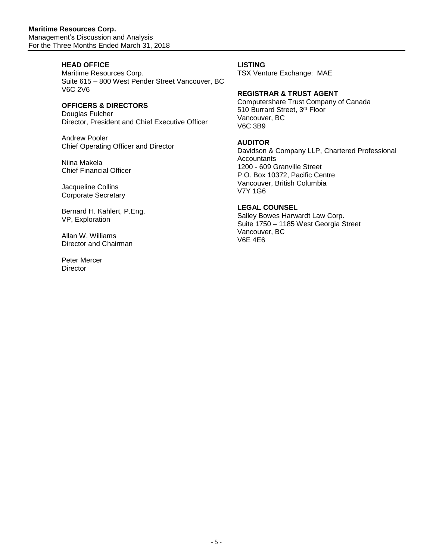# **HEAD OFFICE**

Maritime Resources Corp. Suite 615 – 800 West Pender Street Vancouver, BC V6C 2V6

# **OFFICERS & DIRECTORS**

Douglas Fulcher Director, President and Chief Executive Officer

Andrew Pooler Chief Operating Officer and Director

Niina Makela Chief Financial Officer

Jacqueline Collins Corporate Secretary

Bernard H. Kahlert, P.Eng. VP, Exploration

Allan W. Williams Director and Chairman

Peter Mercer **Director** 

# **LISTING**

TSX Venture Exchange: MAE

## **REGISTRAR & TRUST AGENT**

Computershare Trust Company of Canada 510 Burrard Street, 3rd Floor Vancouver, BC V6C 3B9

#### **AUDITOR**

Davidson & Company LLP, Chartered Professional **Accountants** 1200 - 609 Granville Street P.O. Box 10372, Pacific Centre Vancouver, British Columbia V7Y 1G6

# **LEGAL COUNSEL**

Salley Bowes Harwardt Law Corp. Suite 1750 – 1185 West Georgia Street Vancouver, BC V6E 4E6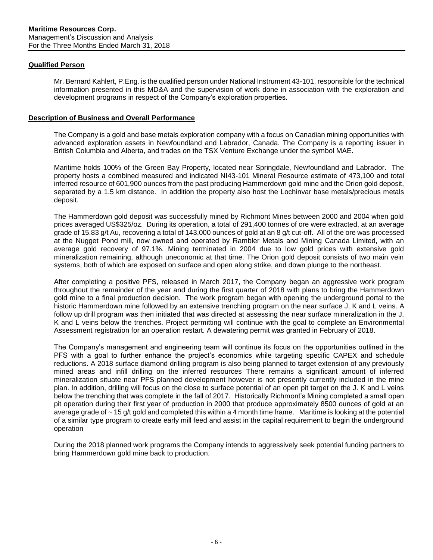# **Qualified Person**

Mr. Bernard Kahlert, P.Eng. is the qualified person under National Instrument 43-101, responsible for the technical information presented in this MD&A and the supervision of work done in association with the exploration and development programs in respect of the Company's exploration properties.

#### <span id="page-5-0"></span>**Description of Business and Overall Performance**

The Company is a gold and base metals exploration company with a focus on Canadian mining opportunities with advanced exploration assets in Newfoundland and Labrador, Canada. The Company is a reporting issuer in British Columbia and Alberta, and trades on the TSX Venture Exchange under the symbol MAE.

Maritime holds 100% of the Green Bay Property, located near Springdale, Newfoundland and Labrador. The property hosts a combined measured and indicated NI43-101 Mineral Resource estimate of 473,100 and total inferred resource of 601,900 ounces from the past producing Hammerdown gold mine and the Orion gold deposit, separated by a 1.5 km distance. In addition the property also host the Lochinvar base metals/precious metals deposit.

The Hammerdown gold deposit was successfully mined by Richmont Mines between 2000 and 2004 when gold prices averaged US\$325/oz. During its operation, a total of 291,400 tonnes of ore were extracted, at an average grade of 15.83 g/t Au, recovering a total of 143,000 ounces of gold at an 8 g/t cut-off. All of the ore was processed at the Nugget Pond mill, now owned and operated by Rambler Metals and Mining Canada Limited, with an average gold recovery of 97.1%. Mining terminated in 2004 due to low gold prices with extensive gold mineralization remaining, although uneconomic at that time. The Orion gold deposit consists of two main vein systems, both of which are exposed on surface and open along strike, and down plunge to the northeast.

After completing a positive PFS, released in March 2017, the Company began an aggressive work program throughout the remainder of the year and during the first quarter of 2018 with plans to bring the Hammerdown gold mine to a final production decision. The work program began with opening the underground portal to the historic Hammerdown mine followed by an extensive trenching program on the near surface J, K and L veins. A follow up drill program was then initiated that was directed at assessing the near surface mineralization in the J, K and L veins below the trenches. Project permitting will continue with the goal to complete an Environmental Assessment registration for an operation restart. A dewatering permit was granted in February of 2018.

The Company's management and engineering team will continue its focus on the opportunities outlined in the PFS with a goal to further enhance the project's economics while targeting specific CAPEX and schedule reductions. A 2018 surface diamond drilling program is also being planned to target extension of any previously mined areas and infill drilling on the inferred resources There remains a significant amount of inferred mineralization situate near PFS planned development however is not presently currently included in the mine plan. In addition, drilling will focus on the close to surface potential of an open pit target on the J. K and L veins below the trenching that was complete in the fall of 2017. Historically Richmont's Mining completed a small open pit operation during their first year of production in 2000 that produce approximately 8500 ounces of gold at an average grade of  $\sim$  15 g/t gold and completed this within a 4 month time frame. Maritime is looking at the potential of a similar type program to create early mill feed and assist in the capital requirement to begin the underground operation

During the 2018 planned work programs the Company intends to aggressively seek potential funding partners to bring Hammerdown gold mine back to production.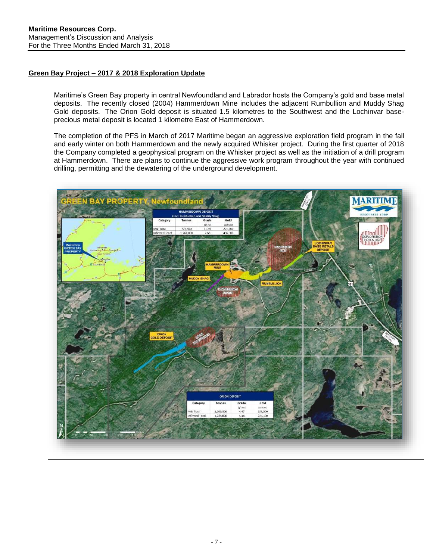# <span id="page-6-0"></span>**Green Bay Project – 2017 & 2018 Exploration Update**

Maritime's Green Bay property in central Newfoundland and Labrador hosts the Company's gold and base metal deposits. The recently closed (2004) Hammerdown Mine includes the adjacent Rumbullion and Muddy Shag Gold deposits. The Orion Gold deposit is situated 1.5 kilometres to the Southwest and the Lochinvar baseprecious metal deposit is located 1 kilometre East of Hammerdown.

The completion of the PFS in March of 2017 Maritime began an aggressive exploration field program in the fall and early winter on both Hammerdown and the newly acquired Whisker project. During the first quarter of 2018 the Company completed a geophysical program on the Whisker project as well as the initiation of a drill program at Hammerdown. There are plans to continue the aggressive work program throughout the year with continued drilling, permitting and the dewatering of the underground development.

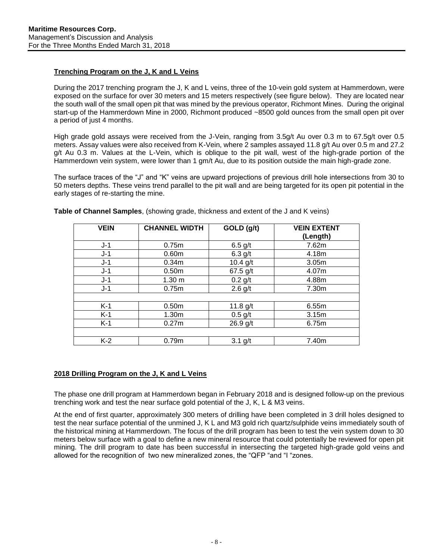# **Trenching Program on the J, K and L Veins**

During the 2017 trenching program the J, K and L veins, three of the 10-vein gold system at Hammerdown, were exposed on the surface for over 30 meters and 15 meters respectively (see figure below). They are located near the south wall of the small open pit that was mined by the previous operator, Richmont Mines. During the original start-up of the Hammerdown Mine in 2000, Richmont produced ~8500 gold ounces from the small open pit over a period of just 4 months.

High grade gold assays were received from the J-Vein, ranging from 3.5g/t Au over 0.3 m to 67.5g/t over 0.5 meters. Assay values were also received from K-Vein, where 2 samples assayed 11.8 g/t Au over 0.5 m and 27.2 g/t Au 0.3 m. Values at the L-Vein, which is oblique to the pit wall, west of the high-grade portion of the Hammerdown vein system, were lower than 1 gm/t Au, due to its position outside the main high-grade zone.

The surface traces of the "J" and "K" veins are upward projections of previous drill hole intersections from 30 to 50 meters depths. These veins trend parallel to the pit wall and are being targeted for its open pit potential in the early stages of re-starting the mine.

| <b>VEIN</b> | <b>CHANNEL WIDTH</b> | GOLD (g/t)            | <b>VEIN EXTENT</b><br>(Length) |
|-------------|----------------------|-----------------------|--------------------------------|
| J-1         | 0.75m                | $6.5$ g/t             | 7.62m                          |
| $J-1$       | 0.60 <sub>m</sub>    | $6.3$ g/t             | 4.18m                          |
| $J-1$       | 0.34m                | $\overline{10.4}$ g/t | 3.05 <sub>m</sub>              |
| $J-1$       | 0.50 <sub>m</sub>    | 67.5 g/t              | 4.07m                          |
| $J-1$       | 1.30 <sub>m</sub>    | $0.2$ g/t             | 4.88m                          |
| $J-1$       | 0.75m                | $2.6$ g/t             | 7.30m                          |
|             |                      |                       |                                |
| $K-1$       | 0.50 <sub>m</sub>    | 11.8 $g/t$            | 6.55m                          |
| $K-1$       | 1.30m                | $0.5$ g/t             | 3.15m                          |
| $K-1$       | 0.27m                | 26.9 g/t              | 6.75m                          |
|             |                      |                       |                                |
| $K-2$       | 0.79m                | $3.1$ g/t             | 7.40m                          |

**Table of Channel Samples**, (showing grade, thickness and extent of the J and K veins)

# **2018 Drilling Program on the J, K and L Veins**

The phase one drill program at Hammerdown began in February 2018 and is designed follow-up on the previous trenching work and test the near surface gold potential of the J, K, L & M3 veins.

At the end of first quarter, approximately 300 meters of drilling have been completed in 3 drill holes designed to test the near surface potential of the unmined J, K L and M3 gold rich quartz/sulphide veins immediately south of the historical mining at Hammerdown. The focus of the drill program has been to test the vein system down to 30 meters below surface with a goal to define a new mineral resource that could potentially be reviewed for open pit mining. The drill program to date has been successful in intersecting the targeted high-grade gold veins and allowed for the recognition of two new mineralized zones, the "QFP "and "I "zones.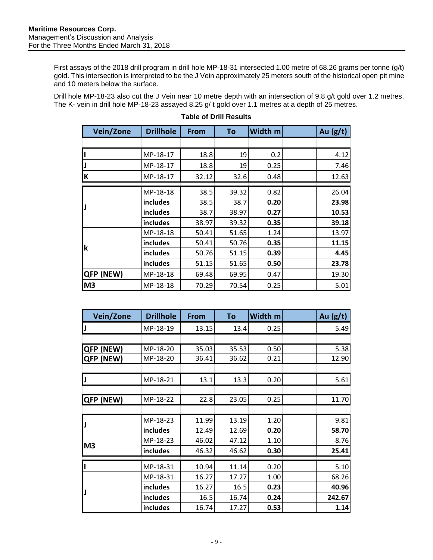First assays of the 2018 drill program in drill hole MP-18-31 intersected 1.00 metre of 68.26 grams per tonne (g/t) gold. This intersection is interpreted to be the J Vein approximately 25 meters south of the historical open pit mine and 10 meters below the surface.

Drill hole MP-18-23 also cut the J Vein near 10 metre depth with an intersection of 9.8 g/t gold over 1.2 metres. The K- vein in drill hole MP-18-23 assayed 8.25 g/ t gold over 1.1 metres at a depth of 25 metres.

| Vein/Zone        | <b>Drillhole</b> | <b>From</b> | To    | Width m | Au $(g/t)$ |       |
|------------------|------------------|-------------|-------|---------|------------|-------|
|                  |                  |             |       |         |            |       |
|                  | MP-18-17         | 18.8        | 19    | 0.2     |            | 4.12  |
|                  | MP-18-17         | 18.8        | 19    | 0.25    |            | 7.46  |
| К                | MP-18-17         | 32.12       | 32.6  | 0.48    |            | 12.63 |
|                  |                  |             |       |         |            |       |
|                  | MP-18-18         | 38.5        | 39.32 | 0.82    |            | 26.04 |
| J                | includes         | 38.5        | 38.7  | 0.20    |            | 23.98 |
|                  | includes         | 38.7        | 38.97 | 0.27    |            | 10.53 |
|                  | includes         | 38.97       | 39.32 | 0.35    |            | 39.18 |
|                  | MP-18-18         | 50.41       | 51.65 | 1.24    |            | 13.97 |
| k                | includes         | 50.41       | 50.76 | 0.35    |            | 11.15 |
|                  | includes         | 50.76       | 51.15 | 0.39    |            | 4.45  |
|                  | includes         | 51.15       | 51.65 | 0.50    |            | 23.78 |
| <b>QFP (NEW)</b> | MP-18-18         | 69.48       | 69.95 | 0.47    |            | 19.30 |
| M <sub>3</sub>   | MP-18-18         | 70.29       | 70.54 | 0.25    |            | 5.01  |

# **Table of Drill Results**

| Vein/Zone           | <b>Drillhole</b> | <b>From</b> | To    | Width m | Au $(g/t)$ |
|---------------------|------------------|-------------|-------|---------|------------|
|                     | MP-18-19         | 13.15       | 13.4  | 0.25    | 5.49       |
|                     |                  |             |       |         |            |
| <b>QFP</b><br>(NEW) | MP-18-20         | 35.03       | 35.53 | 0.50    | 5.38       |
| <b>QFP (NEW)</b>    | MP-18-20         | 36.41       | 36.62 | 0.21    | 12.90      |
|                     |                  |             |       |         |            |
| J                   | MP-18-21         | 13.1        | 13.3  | 0.20    | 5.61       |
|                     |                  |             |       |         |            |
| <b>QFP (NEW)</b>    | MP-18-22         | 22.8        | 23.05 | 0.25    | 11.70      |
|                     |                  |             |       |         |            |
|                     | MP-18-23         | 11.99       | 13.19 | 1.20    | 9.81       |
|                     | includes         | 12.49       | 12.69 | 0.20    | 58.70      |
|                     | MP-18-23         | 46.02       | 47.12 | 1.10    | 8.76       |
| M <sub>3</sub>      | includes         | 46.32       | 46.62 | 0.30    | 25.41      |
|                     |                  |             |       |         |            |
|                     | MP-18-31         | 10.94       | 11.14 | 0.20    | 5.10       |
|                     | MP-18-31         | 16.27       | 17.27 | 1.00    | 68.26      |
| J                   | includes         | 16.27       | 16.5  | 0.23    | 40.96      |
|                     | includes         | 16.5        | 16.74 | 0.24    | 242.67     |
|                     | includes         | 16.74       | 17.27 | 0.53    | 1.14       |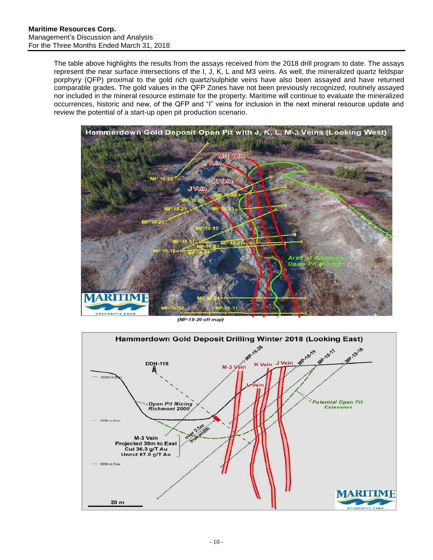The table above highlights the results from the assays received from the 2018 drill program to date. The assays represent the near surface intersections of the I, J, K, L and M3 veins. As well, the mineralized quartz feldspar porphyry (QFP) proximal to the gold rich quartz/sulphide veins have also been assayed and have returned comparable grades. The gold values in the QFP Zones have not been previously recognized, routinely assayed nor included in the mineral resource estimate for the property. Maritime will continue to evaluate the mineralized occurrences, historic and new, of the QFP and "I" veins for inclusion in the next mineral resource update and review the potential of a start-up open pit production scenario.



(MP-18-29 off map)

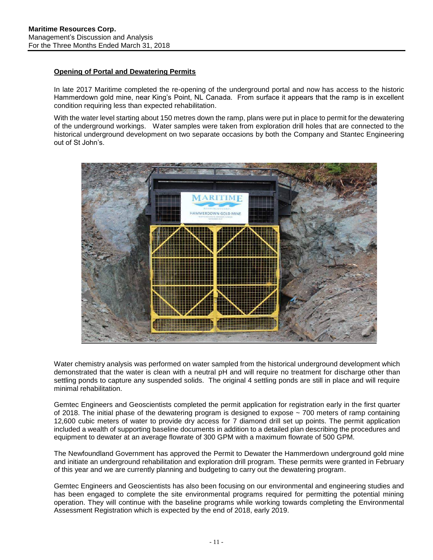## **Opening of Portal and Dewatering Permits**

In late 2017 Maritime completed the re-opening of the underground portal and now has access to the historic Hammerdown gold mine, near King's Point, NL Canada. From surface it appears that the ramp is in excellent condition requiring less than expected rehabilitation.

With the water level starting about 150 metres down the ramp, plans were put in place to permit for the dewatering of the underground workings. Water samples were taken from exploration drill holes that are connected to the historical underground development on two separate occasions by both the Company and Stantec Engineering out of St John's.



Water chemistry analysis was performed on water sampled from the historical underground development which demonstrated that the water is clean with a neutral pH and will require no treatment for discharge other than settling ponds to capture any suspended solids. The original 4 settling ponds are still in place and will require minimal rehabilitation.

Gemtec Engineers and Geoscientists completed the permit application for registration early in the first quarter of 2018. The initial phase of the dewatering program is designed to expose  $\sim$  700 meters of ramp containing 12,600 cubic meters of water to provide dry access for 7 diamond drill set up points. The permit application included a wealth of supporting baseline documents in addition to a detailed plan describing the procedures and equipment to dewater at an average flowrate of 300 GPM with a maximum flowrate of 500 GPM.

The Newfoundland Government has approved the Permit to Dewater the Hammerdown underground gold mine and initiate an underground rehabilitation and exploration drill program. These permits were granted in February of this year and we are currently planning and budgeting to carry out the dewatering program.

Gemtec Engineers and Geoscientists has also been focusing on our environmental and engineering studies and has been engaged to complete the site environmental programs required for permitting the potential mining operation. They will continue with the baseline programs while working towards completing the Environmental Assessment Registration which is expected by the end of 2018, early 2019.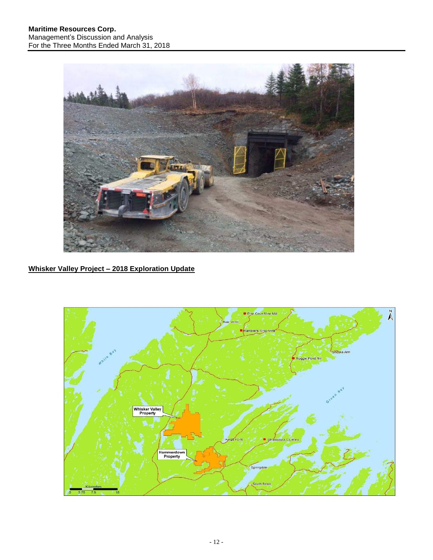

# <span id="page-11-0"></span>**Whisker Valley Project – 2018 Exploration Update**

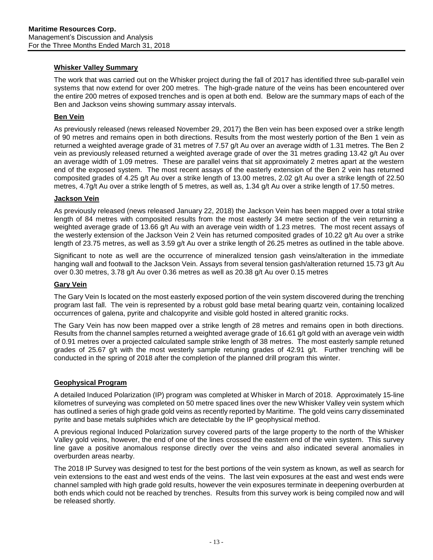# **Whisker Valley Summary**

The work that was carried out on the Whisker project during the fall of 2017 has identified three sub-parallel vein systems that now extend for over 200 metres. The high-grade nature of the veins has been encountered over the entire 200 metres of exposed trenches and is open at both end. Below are the summary maps of each of the Ben and Jackson veins showing summary assay intervals.

#### **Ben Vein**

As previously released (news released November 29, 2017) the Ben vein has been exposed over a strike length of 90 metres and remains open in both directions. Results from the most westerly portion of the Ben 1 vein as returned a weighted average grade of 31 metres of 7.57 g/t Au over an average width of 1.31 metres. The Ben 2 vein as previously released returned a weighted average grade of over the 31 metres grading 13.42 g/t Au over an average width of 1.09 metres. These are parallel veins that sit approximately 2 metres apart at the western end of the exposed system. The most recent assays of the easterly extension of the Ben 2 vein has returned composited grades of 4.25 g/t Au over a strike length of 13.00 metres, 2.02 g/t Au over a strike length of 22.50 metres, 4.7g/t Au over a strike length of 5 metres, as well as, 1.34 g/t Au over a strike length of 17.50 metres.

# **Jackson Vein**

As previously released (news released January 22, 2018) the Jackson Vein has been mapped over a total strike length of 84 metres with composited results from the most easterly 34 metre section of the vein returning a weighted average grade of 13.66 g/t Au with an average vein width of 1.23 metres. The most recent assays of the westerly extension of the Jackson Vein 2 Vein has returned composited grades of 10.22 g/t Au over a strike length of 23.75 metres, as well as 3.59 g/t Au over a strike length of 26.25 metres as outlined in the table above.

Significant to note as well are the occurrence of mineralized tension gash veins/alteration in the immediate hanging wall and footwall to the Jackson Vein. Assays from several tension gash/alteration returned 15.73 g/t Au over 0.30 metres, 3.78 g/t Au over 0.36 metres as well as 20.38 g/t Au over 0.15 metres

#### **Gary Vein**

The Gary Vein Is located on the most easterly exposed portion of the vein system discovered during the trenching program last fall. The vein is represented by a robust gold base metal bearing quartz vein, containing localized occurrences of galena, pyrite and chalcopyrite and visible gold hosted in altered granitic rocks.

The Gary Vein has now been mapped over a strike length of 28 metres and remains open in both directions. Results from the channel samples returned a weighted average grade of 16.61 g/t gold with an average vein width of 0.91 metres over a projected calculated sample strike length of 38 metres. The most easterly sample retuned grades of 25.67 g/t with the most westerly sample retuning grades of 42.91 g/t. Further trenching will be conducted in the spring of 2018 after the completion of the planned drill program this winter.

#### **Geophysical Program**

A detailed Induced Polarization (IP) program was completed at Whisker in March of 2018. Approximately 15-line kilometres of surveying was completed on 50 metre spaced lines over the new Whisker Valley vein system which has outlined a series of high grade gold veins as recently reported by Maritime. The gold veins carry disseminated pyrite and base metals sulphides which are detectable by the IP geophysical method.

A previous regional Induced Polarization survey covered parts of the large property to the north of the Whisker Valley gold veins, however, the end of one of the lines crossed the eastern end of the vein system. This survey line gave a positive anomalous response directly over the veins and also indicated several anomalies in overburden areas nearby.

The 2018 IP Survey was designed to test for the best portions of the vein system as known, as well as search for vein extensions to the east and west ends of the veins. The last vein exposures at the east and west ends were channel sampled with high grade gold results, however the vein exposures terminate in deepening overburden at both ends which could not be reached by trenches. Results from this survey work is being compiled now and will be released shortly.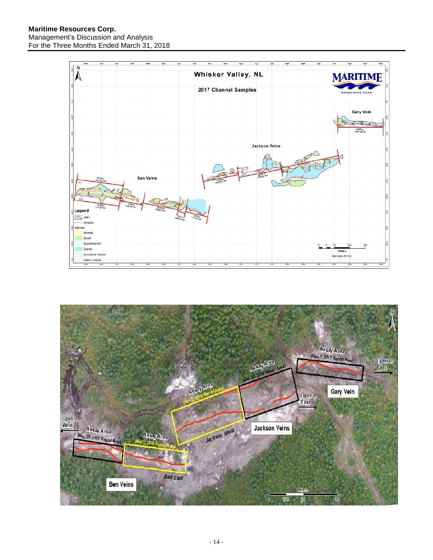

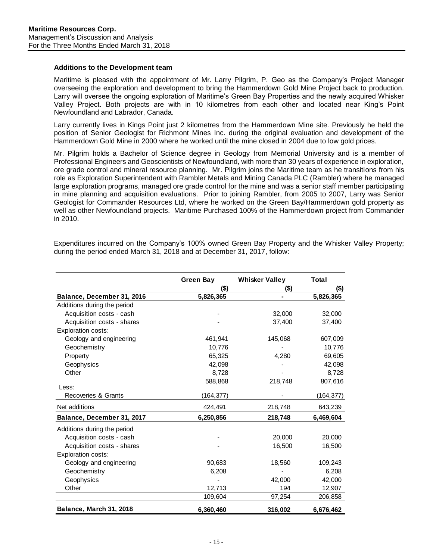#### **Additions to the Development team**

Maritime is pleased with the appointment of Mr. Larry Pilgrim, P. Geo as the Company's Project Manager overseeing the exploration and development to bring the Hammerdown Gold Mine Project back to production. Larry will oversee the ongoing exploration of Maritime's Green Bay Properties and the newly acquired Whisker Valley Project. Both projects are with in 10 kilometres from each other and located near King's Point Newfoundland and Labrador, Canada.

Larry currently lives in Kings Point just 2 kilometres from the Hammerdown Mine site. Previously he held the position of Senior Geologist for Richmont Mines Inc. during the original evaluation and development of the Hammerdown Gold Mine in 2000 where he worked until the mine closed in 2004 due to low gold prices.

Mr. Pilgrim holds a Bachelor of Science degree in Geology from Memorial University and is a member of Professional Engineers and Geoscientists of Newfoundland, with more than 30 years of experience in exploration, ore grade control and mineral resource planning. Mr. Pilgrim joins the Maritime team as he transitions from his role as Exploration Superintendent with Rambler Metals and Mining Canada PLC (Rambler) where he managed large exploration programs, managed ore grade control for the mine and was a senior staff member participating in mine planning and acquisition evaluations. Prior to joining Rambler, from 2005 to 2007, Larry was Senior Geologist for Commander Resources Ltd, where he worked on the Green Bay/Hammerdown gold property as well as other Newfoundland projects. Maritime Purchased 100% of the Hammerdown project from Commander in 2010.

|                             | <b>Green Bay</b> | <b>Whisker Valley</b> | Total     |
|-----------------------------|------------------|-----------------------|-----------|
|                             | (\$)             | (\$)                  | (\$)      |
| Balance, December 31, 2016  | 5,826,365        |                       | 5,826,365 |
| Additions during the period |                  |                       |           |
| Acquisition costs - cash    |                  | 32,000                | 32,000    |
| Acquisition costs - shares  |                  | 37,400                | 37,400    |
| Exploration costs:          |                  |                       |           |
| Geology and engineering     | 461,941          | 145,068               | 607,009   |
| Geochemistry                | 10,776           |                       | 10,776    |
| Property                    | 65,325           | 4,280                 | 69,605    |
| Geophysics                  | 42,098           |                       | 42,098    |
| Other                       | 8,728            |                       | 8,728     |
|                             | 588,868          | 218,748               | 807,616   |
| Less:                       |                  |                       |           |
| Recoveries & Grants         | (164,377)        |                       | (164,377) |
| Net additions               | 424,491          | 218,748               | 643,239   |
| Balance, December 31, 2017  | 6,250,856        | 218,748               | 6,469,604 |
| Additions during the period |                  |                       |           |
| Acquisition costs - cash    |                  | 20,000                | 20,000    |
| Acquisition costs - shares  |                  | 16,500                | 16,500    |
| <b>Exploration costs:</b>   |                  |                       |           |
| Geology and engineering     | 90,683           | 18,560                | 109,243   |
| Geochemistry                | 6,208            |                       | 6,208     |
| Geophysics                  |                  | 42,000                | 42,000    |
| Other                       | 12,713           | 194                   | 12,907    |
|                             | 109,604          | 97,254                | 206,858   |
| Balance, March 31, 2018     | 6,360,460        | 316,002               | 6,676,462 |

Expenditures incurred on the Company's 100% owned Green Bay Property and the Whisker Valley Property; during the period ended March 31, 2018 and at December 31, 2017, follow: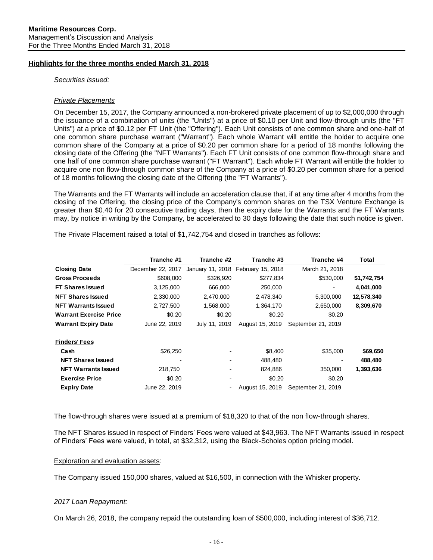#### <span id="page-15-0"></span>**Highlights for the three months ended March 31, 2018**

*Securities issued:* 

#### *Private Placements*

On December 15, 2017, the Company announced a non-brokered private placement of up to \$2,000,000 through the issuance of a combination of units (the "Units") at a price of \$0.10 per Unit and flow-through units (the "FT Units") at a price of \$0.12 per FT Unit (the "Offering"). Each Unit consists of one common share and one-half of one common share purchase warrant ("Warrant"). Each whole Warrant will entitle the holder to acquire one common share of the Company at a price of \$0.20 per common share for a period of 18 months following the closing date of the Offering (the "NFT Warrants"). Each FT Unit consists of one common flow-through share and one half of one common share purchase warrant ("FT Warrant"). Each whole FT Warrant will entitle the holder to acquire one non flow-through common share of the Company at a price of \$0.20 per common share for a period of 18 months following the closing date of the Offering (the "FT Warrants").

The Warrants and the FT Warrants will include an acceleration clause that, if at any time after 4 months from the closing of the Offering, the closing price of the Company's common shares on the TSX Venture Exchange is greater than \$0.40 for 20 consecutive trading days, then the expiry date for the Warrants and the FT Warrants may, by notice in writing by the Company, be accelerated to 30 days following the date that such notice is given.

|                               | Tranche #1        | Tranche #2    | Tranche #3                         | Tranche #4         | Total       |
|-------------------------------|-------------------|---------------|------------------------------------|--------------------|-------------|
| <b>Closing Date</b>           | December 22, 2017 |               | January 11, 2018 February 15, 2018 | March 21, 2018     |             |
| <b>Gross Proceeds</b>         | \$608,000         | \$326,920     | \$277,834                          | \$530,000          | \$1,742,754 |
| <b>FT Shares Issued</b>       | 3,125,000         | 666,000       | 250,000                            |                    | 4,041,000   |
| <b>NFT Shares Issued</b>      | 2,330,000         | 2,470,000     | 2,478,340                          | 5,300,000          | 12,578,340  |
| <b>NFT Warrants Issued</b>    | 2,727,500         | 1,568,000     | 1,364,170                          | 2,650,000          | 8,309,670   |
| <b>Warrant Exercise Price</b> | \$0.20            | \$0.20        | \$0.20                             | \$0.20             |             |
| <b>Warrant Expiry Date</b>    | June 22, 2019     | July 11, 2019 | August 15, 2019                    | September 21, 2019 |             |
| <b>Finders' Fees</b>          |                   |               |                                    |                    |             |
| Cash                          | \$26,250          |               | \$8,400                            | \$35,000           | \$69,650    |
| <b>NFT Shares Issued</b>      |                   |               | 488,480                            |                    | 488,480     |
| <b>NFT Warrants Issued</b>    | 218,750           |               | 824,886                            | 350,000            | 1,393,636   |
| <b>Exercise Price</b>         | \$0.20            |               | \$0.20                             | \$0.20             |             |
| <b>Expiry Date</b>            | June 22, 2019     |               | August 15, 2019                    | September 21, 2019 |             |

The Private Placement raised a total of \$1,742,754 and closed in tranches as follows:

The flow-through shares were issued at a premium of \$18,320 to that of the non flow-through shares.

The NFT Shares issued in respect of Finders' Fees were valued at \$43,963. The NFT Warrants issued in respect of Finders' Fees were valued, in total, at \$32,312, using the Black-Scholes option pricing model.

#### Exploration and evaluation assets:

The Company issued 150,000 shares, valued at \$16,500, in connection with the Whisker property.

#### *2017 Loan Repayment:*

On March 26, 2018, the company repaid the outstanding loan of \$500,000, including interest of \$36,712.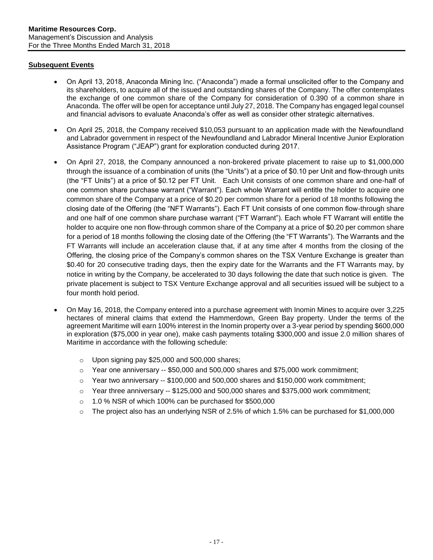# <span id="page-16-0"></span>**Subsequent Events**

- On April 13, 2018, Anaconda Mining Inc. ("Anaconda") made a formal unsolicited offer to the Company and its shareholders, to acquire all of the issued and outstanding shares of the Company. The offer contemplates the exchange of one common share of the Company for consideration of 0.390 of a common share in Anaconda. The offer will be open for acceptance until July 27, 2018. The Company has engaged legal counsel and financial advisors to evaluate Anaconda's offer as well as consider other strategic alternatives.
- On April 25, 2018, the Company received \$10,053 pursuant to an application made with the Newfoundland and Labrador government in respect of the Newfoundland and Labrador Mineral Incentive Junior Exploration Assistance Program ("JEAP") grant for exploration conducted during 2017.
- On April 27, 2018, the Company announced a non-brokered private placement to raise up to \$1,000,000 through the issuance of a combination of units (the "Units") at a price of \$0.10 per Unit and flow-through units (the "FT Units") at a price of \$0.12 per FT Unit. Each Unit consists of one common share and one-half of one common share purchase warrant ("Warrant"). Each whole Warrant will entitle the holder to acquire one common share of the Company at a price of \$0.20 per common share for a period of 18 months following the closing date of the Offering (the "NFT Warrants"). Each FT Unit consists of one common flow-through share and one half of one common share purchase warrant ("FT Warrant"). Each whole FT Warrant will entitle the holder to acquire one non flow-through common share of the Company at a price of \$0.20 per common share for a period of 18 months following the closing date of the Offering (the "FT Warrants"). The Warrants and the FT Warrants will include an acceleration clause that, if at any time after 4 months from the closing of the Offering, the closing price of the Company's common shares on the TSX Venture Exchange is greater than \$0.40 for 20 consecutive trading days, then the expiry date for the Warrants and the FT Warrants may, by notice in writing by the Company, be accelerated to 30 days following the date that such notice is given. The private placement is subject to TSX Venture Exchange approval and all securities issued will be subject to a four month hold period.
- On May 16, 2018, the Company entered into a purchase agreement with Inomin Mines to acquire over 3,225 hectares of mineral claims that extend the Hammerdown, Green Bay property. Under the terms of the agreement Maritime will earn 100% interest in the Inomin property over a 3-year period by spending \$600,000 in exploration (\$75,000 in year one), make cash payments totaling \$300,000 and issue 2.0 million shares of Maritime in accordance with the following schedule:
	- $\circ$  Upon signing pay \$25,000 and 500,000 shares;
	- $\circ$  Year one anniversary -- \$50,000 and 500,000 shares and \$75,000 work commitment;
	- $\circ$  Year two anniversary -- \$100,000 and 500,000 shares and \$150,000 work commitment;
	- $\circ$  Year three anniversary -- \$125,000 and 500,000 shares and \$375,000 work commitment;
	- o 1.0 % NSR of which 100% can be purchased for \$500,000
	- o The project also has an underlying NSR of 2.5% of which 1.5% can be purchased for \$1,000,000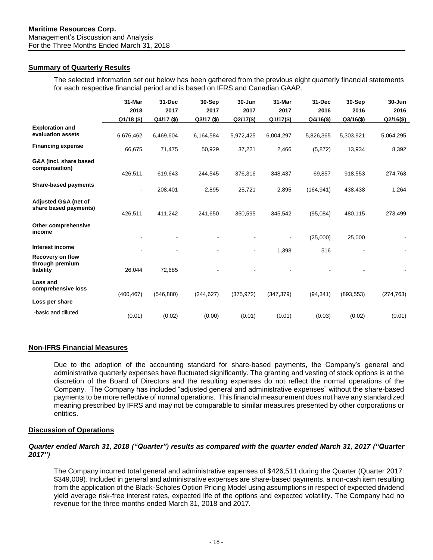# <span id="page-17-0"></span>**Summary of Quarterly Results**

The selected information set out below has been gathered from the previous eight quarterly financial statements for each respective financial period and is based on IFRS and Canadian GAAP.

|                                                         | 31-Mar       | 31-Dec     | 30-Sep     | $30 - Jun$     | 31-Mar      | 31-Dec       | 30-Sep                 | 30-Jun     |
|---------------------------------------------------------|--------------|------------|------------|----------------|-------------|--------------|------------------------|------------|
|                                                         | 2018         | 2017       | 2017       | 2017           | 2017        | 2016         | 2016                   | 2016       |
|                                                         | $Q1/18($ \$) | Q4/17 (\$) | Q3/17(\$)  | $Q2/17(\$)$    | $Q1/17(\$)$ | $Q4/16($ \$) | Q <sub>3/16(</sub> \$) | Q2/16(\$)  |
| <b>Exploration and</b><br>evaluation assets             | 6,676,462    | 6,469,604  | 6,164,584  | 5,972,425      | 6,004,297   | 5,826,365    | 5,303,921              | 5,064,295  |
| <b>Financing expense</b>                                | 66,675       | 71,475     | 50,929     | 37,221         | 2,466       | (5, 872)     | 13,934                 | 8,392      |
| G&A (incl. share based<br>compensation)                 | 426,511      | 619,643    | 244,545    | 376,316        | 348,437     | 69,857       | 918,553                | 274,763    |
| <b>Share-based payments</b>                             |              | 208,401    | 2,895      | 25,721         | 2,895       | (164, 941)   | 438,438                | 1,264      |
| Adjusted G&A (net of<br>share based payments)           | 426,511      | 411,242    | 241,650    | 350,595        | 345,542     | (95,084)     | 480,115                | 273,499    |
| Other comprehensive<br>income                           |              |            |            |                |             | (25,000)     | 25,000                 |            |
| Interest income                                         |              |            |            | $\overline{a}$ | 1,398       | 516          |                        |            |
| <b>Recovery on flow</b><br>through premium<br>liability | 26,044       | 72,685     |            |                |             |              |                        |            |
| Loss and<br>comprehensive loss                          | (400, 467)   | (546, 880) | (244, 627) | (375, 972)     | (347, 379)  | (94, 341)    | (893, 553)             | (274, 763) |
| Loss per share                                          |              |            |            |                |             |              |                        |            |
| -basic and diluted                                      | (0.01)       | (0.02)     | (0.00)     | (0.01)         | (0.01)      | (0.03)       | (0.02)                 | (0.01)     |

#### **Non-IFRS Financial Measures**

Due to the adoption of the accounting standard for share-based payments, the Company's general and administrative quarterly expenses have fluctuated significantly. The granting and vesting of stock options is at the discretion of the Board of Directors and the resulting expenses do not reflect the normal operations of the Company. The Company has included "adjusted general and administrative expenses" without the share-based payments to be more reflective of normal operations. This financial measurement does not have any standardized meaning prescribed by IFRS and may not be comparable to similar measures presented by other corporations or entities.

#### <span id="page-17-1"></span>**Discussion of Operations**

#### *Quarter ended March 31, 2018 ("Quarter") results as compared with the quarter ended March 31, 2017 ("Quarter 2017")*

The Company incurred total general and administrative expenses of \$426,511 during the Quarter (Quarter 2017: \$349,009). Included in general and administrative expenses are share-based payments, a non-cash item resulting from the application of the Black-Scholes Option Pricing Model using assumptions in respect of expected dividend yield average risk-free interest rates, expected life of the options and expected volatility. The Company had no revenue for the three months ended March 31, 2018 and 2017.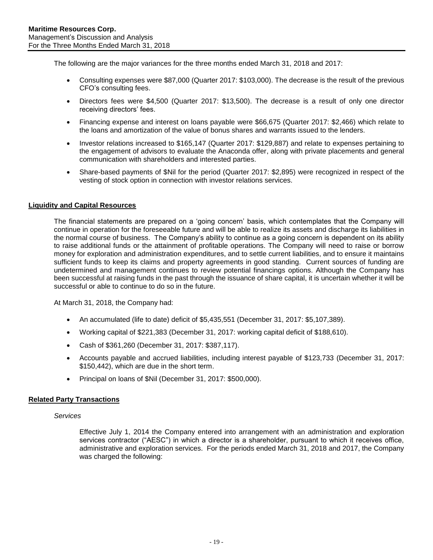The following are the major variances for the three months ended March 31, 2018 and 2017:

- Consulting expenses were \$87,000 (Quarter 2017: \$103,000). The decrease is the result of the previous CFO's consulting fees.
- Directors fees were \$4,500 (Quarter 2017: \$13,500). The decrease is a result of only one director receiving directors' fees.
- Financing expense and interest on loans payable were \$66,675 (Quarter 2017: \$2,466) which relate to the loans and amortization of the value of bonus shares and warrants issued to the lenders.
- Investor relations increased to \$165,147 (Quarter 2017: \$129,887) and relate to expenses pertaining to the engagement of advisors to evaluate the Anaconda offer, along with private placements and general communication with shareholders and interested parties.
- Share-based payments of \$Nil for the period (Quarter 2017: \$2,895) were recognized in respect of the vesting of stock option in connection with investor relations services.

# <span id="page-18-0"></span>**Liquidity and Capital Resources**

The financial statements are prepared on a 'going concern' basis, which contemplates that the Company will continue in operation for the foreseeable future and will be able to realize its assets and discharge its liabilities in the normal course of business. The Company's ability to continue as a going concern is dependent on its ability to raise additional funds or the attainment of profitable operations. The Company will need to raise or borrow money for exploration and administration expenditures, and to settle current liabilities, and to ensure it maintains sufficient funds to keep its claims and property agreements in good standing. Current sources of funding are undetermined and management continues to review potential financings options. Although the Company has been successful at raising funds in the past through the issuance of share capital, it is uncertain whether it will be successful or able to continue to do so in the future.

At March 31, 2018, the Company had:

- An accumulated (life to date) deficit of \$5,435,551 (December 31, 2017: \$5,107,389).
- Working capital of \$221,383 (December 31, 2017: working capital deficit of \$188,610).
- Cash of \$361,260 (December 31, 2017: \$387,117).
- Accounts payable and accrued liabilities, including interest payable of \$123,733 (December 31, 2017: \$150,442), which are due in the short term.
- Principal on loans of \$Nil (December 31, 2017: \$500,000).

# <span id="page-18-1"></span>**Related Party Transactions**

*Services*

Effective July 1, 2014 the Company entered into arrangement with an administration and exploration services contractor ("AESC") in which a director is a shareholder, pursuant to which it receives office, administrative and exploration services. For the periods ended March 31, 2018 and 2017, the Company was charged the following: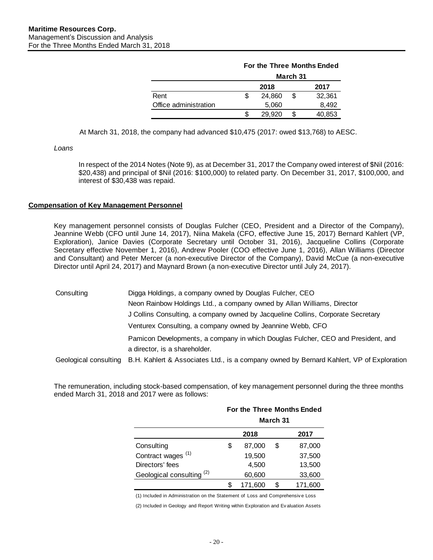|                       |              |        |   | For the Three Months Ended |  |  |
|-----------------------|--------------|--------|---|----------------------------|--|--|
|                       | March 31     |        |   |                            |  |  |
|                       | 2018<br>2017 |        |   |                            |  |  |
| Rent                  |              | 24,860 | S | 32,361                     |  |  |
| Office administration |              | 5,060  |   | 8,492                      |  |  |
|                       |              | 29.920 |   | 40.853                     |  |  |

At March 31, 2018, the company had advanced \$10,475 (2017: owed \$13,768) to AESC.

#### *Loans*

In respect of the 2014 Notes (Note 9), as at December 31, 2017 the Company owed interest of \$Nil (2016: \$20,438) and principal of \$Nil (2016: \$100,000) to related party. On December 31, 2017, \$100,000, and interest of \$30,438 was repaid.

#### **Compensation of Key Management Personnel**

Key management personnel consists of Douglas Fulcher (CEO, President and a Director of the Company), Jeannine Webb (CFO until June 14, 2017), Niina Makela (CFO, effective June 15, 2017) Bernard Kahlert (VP, Exploration), Janice Davies (Corporate Secretary until October 31, 2016), Jacqueline Collins (Corporate Secretary effective November 1, 2016), Andrew Pooler (COO effective June 1, 2016), Allan Williams (Director and Consultant) and Peter Mercer (a non-executive Director of the Company), David McCue (a non-executive Director until April 24, 2017) and Maynard Brown (a non-executive Director until July 24, 2017).

| Consulting | Digga Holdings, a company owned by Douglas Fulcher, CEO                                                           |
|------------|-------------------------------------------------------------------------------------------------------------------|
|            | Neon Rainbow Holdings Ltd., a company owned by Allan Williams, Director                                           |
|            | J Collins Consulting, a company owned by Jacqueline Collins, Corporate Secretary                                  |
|            | Venturex Consulting, a company owned by Jeannine Webb, CFO                                                        |
|            | Pamicon Developments, a company in which Douglas Fulcher, CEO and President, and<br>a director, is a shareholder. |
|            | Geological consulting B.H. Kahlert & Associates Ltd., is a company owned by Bernard Kahlert, VP of Exploration    |

The remuneration, including stock-based compensation, of key management personnel during the three months ended March 31, 2018 and 2017 were as follows:

|                                      |              |         | March 31 | For the Three Months Ended |  |
|--------------------------------------|--------------|---------|----------|----------------------------|--|
|                                      | 2018<br>2017 |         |          |                            |  |
| Consulting                           | \$           | 87,000  | S        | 87,000                     |  |
| Contract wages <sup>(1)</sup>        |              | 19,500  |          | 37,500                     |  |
| Directors' fees                      |              | 4,500   |          | 13,500                     |  |
| Geological consulting <sup>(2)</sup> |              | 60,600  |          | 33,600                     |  |
|                                      |              | 171,600 | \$       | 171,600                    |  |

(1) Included in Administration on the Statement of Loss and Comprehensiv e Loss

(2) Included in Geology and Report Writing within Exploration and Ev aluation Assets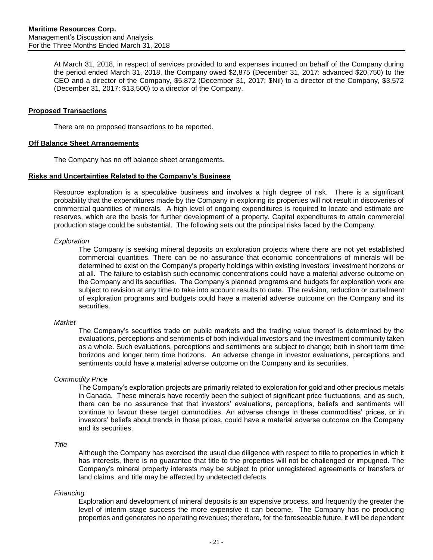At March 31, 2018, in respect of services provided to and expenses incurred on behalf of the Company during the period ended March 31, 2018, the Company owed \$2,875 (December 31, 2017: advanced \$20,750) to the CEO and a director of the Company, \$5,872 (December 31, 2017: \$Nil) to a director of the Company, \$3,572 (December 31, 2017: \$13,500) to a director of the Company.

#### <span id="page-20-0"></span>**Proposed Transactions**

There are no proposed transactions to be reported.

#### <span id="page-20-1"></span>**Off Balance Sheet Arrangements**

The Company has no off balance sheet arrangements.

#### <span id="page-20-2"></span>**Risks and Uncertainties Related to the Company's Business**

Resource exploration is a speculative business and involves a high degree of risk. There is a significant probability that the expenditures made by the Company in exploring its properties will not result in discoveries of commercial quantities of minerals. A high level of ongoing expenditures is required to locate and estimate ore reserves, which are the basis for further development of a property. Capital expenditures to attain commercial production stage could be substantial. The following sets out the principal risks faced by the Company.

#### *Exploration*

The Company is seeking mineral deposits on exploration projects where there are not yet established commercial quantities. There can be no assurance that economic concentrations of minerals will be determined to exist on the Company's property holdings within existing investors' investment horizons or at all. The failure to establish such economic concentrations could have a material adverse outcome on the Company and its securities. The Company's planned programs and budgets for exploration work are subject to revision at any time to take into account results to date. The revision, reduction or curtailment of exploration programs and budgets could have a material adverse outcome on the Company and its securities.

#### *Market*

The Company's securities trade on public markets and the trading value thereof is determined by the evaluations, perceptions and sentiments of both individual investors and the investment community taken as a whole. Such evaluations, perceptions and sentiments are subject to change; both in short term time horizons and longer term time horizons. An adverse change in investor evaluations, perceptions and sentiments could have a material adverse outcome on the Company and its securities.

#### *Commodity Price*

The Company's exploration projects are primarily related to exploration for gold and other precious metals in Canada. These minerals have recently been the subject of significant price fluctuations, and as such, there can be no assurance that that investors' evaluations, perceptions, beliefs and sentiments will continue to favour these target commodities. An adverse change in these commodities' prices, or in investors' beliefs about trends in those prices, could have a material adverse outcome on the Company and its securities.

#### *Title*

Although the Company has exercised the usual due diligence with respect to title to properties in which it has interests, there is no guarantee that title to the properties will not be challenged or impugned. The Company's mineral property interests may be subject to prior unregistered agreements or transfers or land claims, and title may be affected by undetected defects.

#### *Financing*

Exploration and development of mineral deposits is an expensive process, and frequently the greater the level of interim stage success the more expensive it can become. The Company has no producing properties and generates no operating revenues; therefore, for the foreseeable future, it will be dependent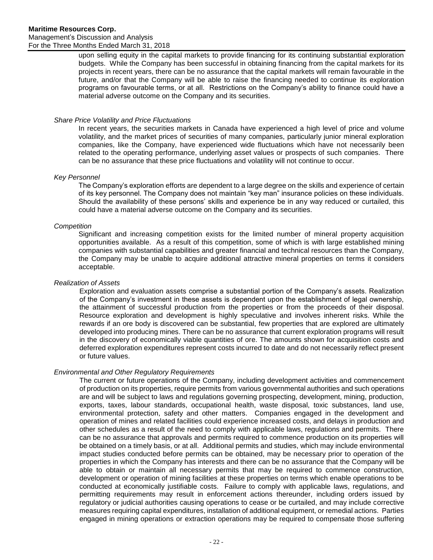upon selling equity in the capital markets to provide financing for its continuing substantial exploration budgets. While the Company has been successful in obtaining financing from the capital markets for its projects in recent years, there can be no assurance that the capital markets will remain favourable in the future, and/or that the Company will be able to raise the financing needed to continue its exploration programs on favourable terms, or at all. Restrictions on the Company's ability to finance could have a material adverse outcome on the Company and its securities.

#### *Share Price Volatility and Price Fluctuations*

In recent years, the securities markets in Canada have experienced a high level of price and volume volatility, and the market prices of securities of many companies, particularly junior mineral exploration companies, like the Company, have experienced wide fluctuations which have not necessarily been related to the operating performance, underlying asset values or prospects of such companies. There can be no assurance that these price fluctuations and volatility will not continue to occur.

#### *Key Personnel*

The Company's exploration efforts are dependent to a large degree on the skills and experience of certain of its key personnel. The Company does not maintain "key man" insurance policies on these individuals. Should the availability of these persons' skills and experience be in any way reduced or curtailed, this could have a material adverse outcome on the Company and its securities.

#### *Competition*

Significant and increasing competition exists for the limited number of mineral property acquisition opportunities available. As a result of this competition, some of which is with large established mining companies with substantial capabilities and greater financial and technical resources than the Company, the Company may be unable to acquire additional attractive mineral properties on terms it considers acceptable.

#### *Realization of Assets*

Exploration and evaluation assets comprise a substantial portion of the Company's assets. Realization of the Company's investment in these assets is dependent upon the establishment of legal ownership, the attainment of successful production from the properties or from the proceeds of their disposal. Resource exploration and development is highly speculative and involves inherent risks. While the rewards if an ore body is discovered can be substantial, few properties that are explored are ultimately developed into producing mines. There can be no assurance that current exploration programs will result in the discovery of economically viable quantities of ore. The amounts shown for acquisition costs and deferred exploration expenditures represent costs incurred to date and do not necessarily reflect present or future values.

#### *Environmental and Other Regulatory Requirements*

The current or future operations of the Company, including development activities and commencement of production on its properties, require permits from various governmental authorities and such operations are and will be subject to laws and regulations governing prospecting, development, mining, production, exports, taxes, labour standards, occupational health, waste disposal, toxic substances, land use, environmental protection, safety and other matters. Companies engaged in the development and operation of mines and related facilities could experience increased costs, and delays in production and other schedules as a result of the need to comply with applicable laws, regulations and permits. There can be no assurance that approvals and permits required to commence production on its properties will be obtained on a timely basis, or at all. Additional permits and studies, which may include environmental impact studies conducted before permits can be obtained, may be necessary prior to operation of the properties in which the Company has interests and there can be no assurance that the Company will be able to obtain or maintain all necessary permits that may be required to commence construction, development or operation of mining facilities at these properties on terms which enable operations to be conducted at economically justifiable costs. Failure to comply with applicable laws, regulations, and permitting requirements may result in enforcement actions thereunder, including orders issued by regulatory or judicial authorities causing operations to cease or be curtailed, and may include corrective measures requiring capital expenditures, installation of additional equipment, or remedial actions. Parties engaged in mining operations or extraction operations may be required to compensate those suffering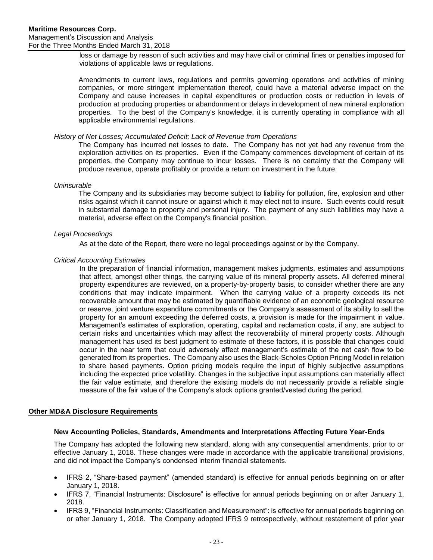loss or damage by reason of such activities and may have civil or criminal fines or penalties imposed for violations of applicable laws or regulations.

Amendments to current laws, regulations and permits governing operations and activities of mining companies, or more stringent implementation thereof, could have a material adverse impact on the Company and cause increases in capital expenditures or production costs or reduction in levels of production at producing properties or abandonment or delays in development of new mineral exploration properties. To the best of the Company's knowledge, it is currently operating in compliance with all applicable environmental regulations.

#### *History of Net Losses; Accumulated Deficit; Lack of Revenue from Operations*

The Company has incurred net losses to date. The Company has not yet had any revenue from the exploration activities on its properties. Even if the Company commences development of certain of its properties, the Company may continue to incur losses. There is no certainty that the Company will produce revenue, operate profitably or provide a return on investment in the future.

#### *Uninsurable*

The Company and its subsidiaries may become subject to liability for pollution, fire, explosion and other risks against which it cannot insure or against which it may elect not to insure. Such events could result in substantial damage to property and personal injury. The payment of any such liabilities may have a material, adverse effect on the Company's financial position.

#### *Legal Proceedings*

As at the date of the Report, there were no legal proceedings against or by the Company.

#### *Critical Accounting Estimates*

In the preparation of financial information, management makes judgments, estimates and assumptions that affect, amongst other things, the carrying value of its mineral property assets. All deferred mineral property expenditures are reviewed, on a property-by-property basis, to consider whether there are any conditions that may indicate impairment. When the carrying value of a property exceeds its net recoverable amount that may be estimated by quantifiable evidence of an economic geological resource or reserve, joint venture expenditure commitments or the Company's assessment of its ability to sell the property for an amount exceeding the deferred costs, a provision is made for the impairment in value. Management's estimates of exploration, operating, capital and reclamation costs, if any, are subject to certain risks and uncertainties which may affect the recoverability of mineral property costs. Although management has used its best judgment to estimate of these factors, it is possible that changes could occur in the near term that could adversely affect management's estimate of the net cash flow to be generated from its properties. The Company also uses the Black-Scholes Option Pricing Model in relation to share based payments. Option pricing models require the input of highly subjective assumptions including the expected price volatility. Changes in the subjective input assumptions can materially affect the fair value estimate, and therefore the existing models do not necessarily provide a reliable single measure of the fair value of the Company's stock options granted/vested during the period.

#### <span id="page-22-0"></span>**Other MD&A Disclosure Requirements**

#### **New Accounting Policies, Standards, Amendments and Interpretations Affecting Future Year-Ends**

The Company has adopted the following new standard, along with any consequential amendments, prior to or effective January 1, 2018. These changes were made in accordance with the applicable transitional provisions, and did not impact the Company's condensed interim financial statements.

- IFRS 2, "Share-based payment" (amended standard) is effective for annual periods beginning on or after January 1, 2018.
- IFRS 7, "Financial Instruments: Disclosure" is effective for annual periods beginning on or after January 1, 2018.
- IFRS 9, "Financial Instruments: Classification and Measurement": is effective for annual periods beginning on or after January 1, 2018. The Company adopted IFRS 9 retrospectively, without restatement of prior year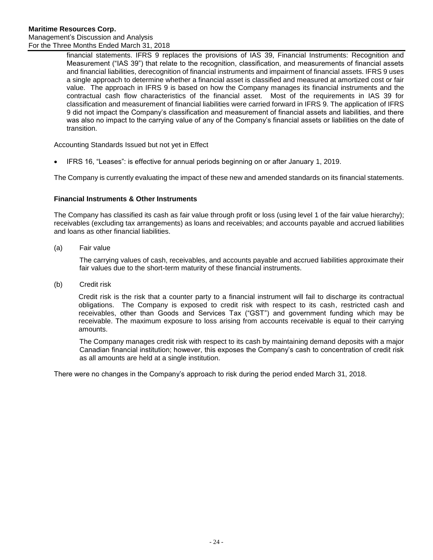financial statements. IFRS 9 replaces the provisions of IAS 39, Financial Instruments: Recognition and Measurement ("IAS 39") that relate to the recognition, classification, and measurements of financial assets and financial liabilities, derecognition of financial instruments and impairment of financial assets. IFRS 9 uses a single approach to determine whether a financial asset is classified and measured at amortized cost or fair value. The approach in IFRS 9 is based on how the Company manages its financial instruments and the contractual cash flow characteristics of the financial asset. Most of the requirements in IAS 39 for classification and measurement of financial liabilities were carried forward in IFRS 9. The application of IFRS 9 did not impact the Company's classification and measurement of financial assets and liabilities, and there was also no impact to the carrying value of any of the Company's financial assets or liabilities on the date of transition.

Accounting Standards Issued but not yet in Effect

• IFRS 16, "Leases": is effective for annual periods beginning on or after January 1, 2019.

The Company is currently evaluating the impact of these new and amended standards on its financial statements.

# **Financial Instruments & Other Instruments**

The Company has classified its cash as fair value through profit or loss (using level 1 of the fair value hierarchy); receivables (excluding tax arrangements) as loans and receivables; and accounts payable and accrued liabilities and loans as other financial liabilities.

(a) Fair value

The carrying values of cash, receivables, and accounts payable and accrued liabilities approximate their fair values due to the short-term maturity of these financial instruments.

(b) Credit risk

Credit risk is the risk that a counter party to a financial instrument will fail to discharge its contractual obligations. The Company is exposed to credit risk with respect to its cash, restricted cash and receivables, other than Goods and Services Tax ("GST") and government funding which may be receivable. The maximum exposure to loss arising from accounts receivable is equal to their carrying amounts.

The Company manages credit risk with respect to its cash by maintaining demand deposits with a major Canadian financial institution; however, this exposes the Company's cash to concentration of credit risk as all amounts are held at a single institution.

There were no changes in the Company's approach to risk during the period ended March 31, 2018.